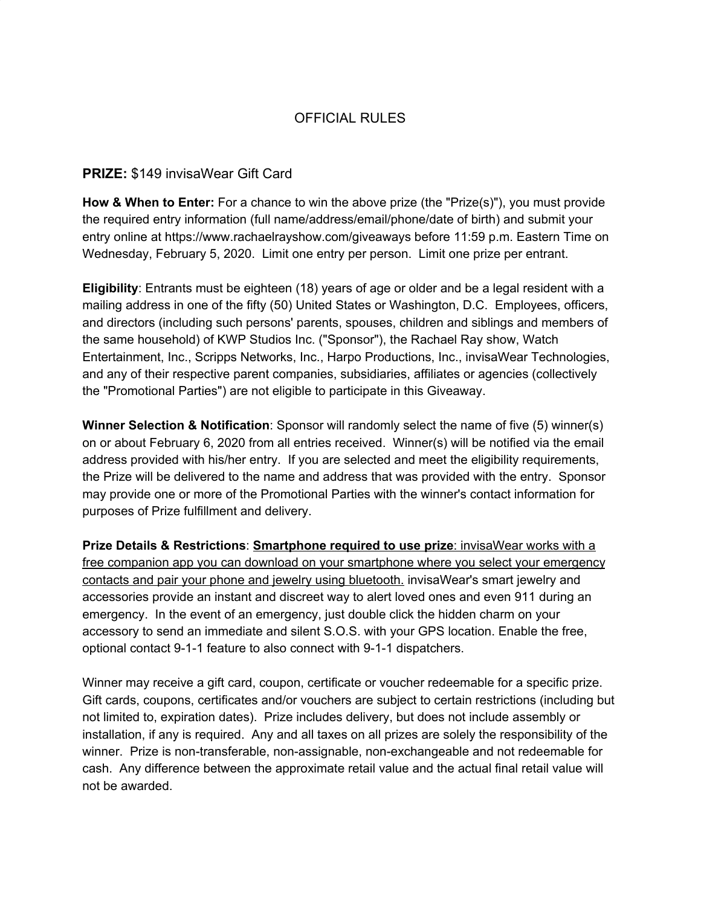## OFFICIAL RULES

## **PRIZE:** \$149 invisaWear Gift Card

**How & When to Enter:** For a chance to win the above prize (the "Prize(s)"), you must provide the required entry information (full name/address/email/phone/date of birth) and submit your entry online at https://www.rachaelrayshow.com/giveaways before 11:59 p.m. Eastern Time on Wednesday, February 5, 2020. Limit one entry per person. Limit one prize per entrant.

**Eligibility**: Entrants must be eighteen (18) years of age or older and be a legal resident with a mailing address in one of the fifty (50) United States or Washington, D.C. Employees, officers, and directors (including such persons' parents, spouses, children and siblings and members of the same household) of KWP Studios Inc. ("Sponsor"), the Rachael Ray show, Watch Entertainment, Inc., Scripps Networks, Inc., Harpo Productions, Inc., invisaWear Technologies, and any of their respective parent companies, subsidiaries, affiliates or agencies (collectively the "Promotional Parties") are not eligible to participate in this Giveaway.

**Winner Selection & Notification**: Sponsor will randomly select the name of five (5) winner(s) on or about February 6, 2020 from all entries received. Winner(s) will be notified via the email address provided with his/her entry. If you are selected and meet the eligibility requirements, the Prize will be delivered to the name and address that was provided with the entry. Sponsor may provide one or more of the Promotional Parties with the winner's contact information for purposes of Prize fulfillment and delivery.

**Prize Details & Restrictions**: **Smartphone required to use prize**: invisaWear works with a free companion app you can download on your smartphone where you select your emergency contacts and pair your phone and jewelry using bluetooth. invisaWear's smart jewelry and accessories provide an instant and discreet way to alert loved ones and even 911 during an emergency. In the event of an emergency, just double click the hidden charm on your accessory to send an immediate and silent S.O.S. with your GPS location. Enable the free, optional contact 9-1-1 feature to also connect with 9-1-1 dispatchers.

Winner may receive a gift card, coupon, certificate or voucher redeemable for a specific prize. Gift cards, coupons, certificates and/or vouchers are subject to certain restrictions (including but not limited to, expiration dates). Prize includes delivery, but does not include assembly or installation, if any is required. Any and all taxes on all prizes are solely the responsibility of the winner. Prize is non-transferable, non-assignable, non-exchangeable and not redeemable for cash. Any difference between the approximate retail value and the actual final retail value will not be awarded.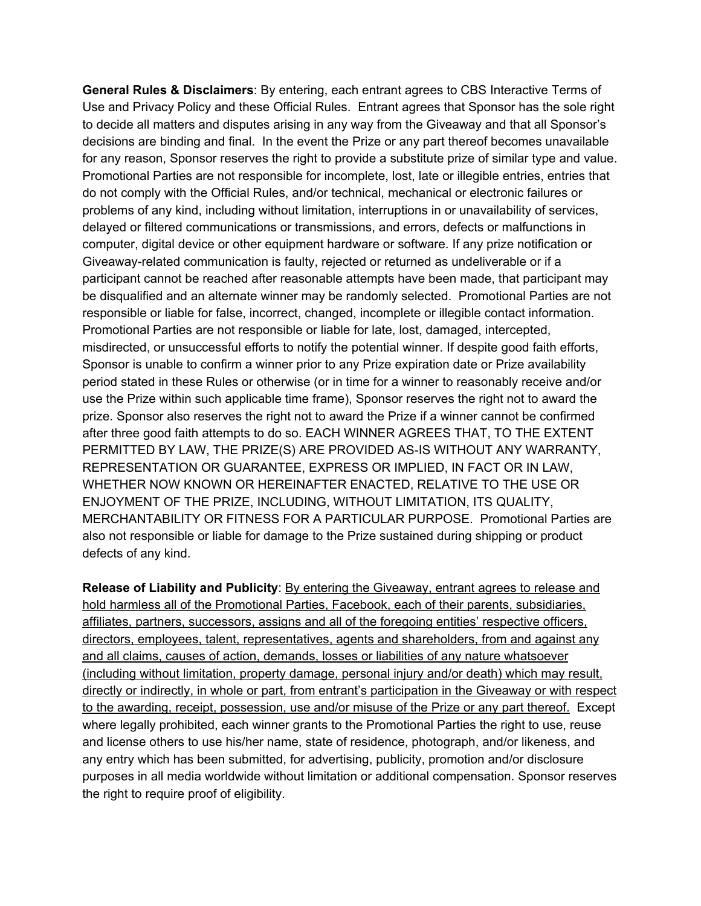**General Rules & Disclaimers**: By entering, each entrant agrees to CBS Interactive Terms of Use and Privacy Policy and these Official Rules. Entrant agrees that Sponsor has the sole right to decide all matters and disputes arising in any way from the Giveaway and that all Sponsor's decisions are binding and final. In the event the Prize or any part thereof becomes unavailable for any reason, Sponsor reserves the right to provide a substitute prize of similar type and value. Promotional Parties are not responsible for incomplete, lost, late or illegible entries, entries that do not comply with the Official Rules, and/or technical, mechanical or electronic failures or problems of any kind, including without limitation, interruptions in or unavailability of services, delayed or filtered communications or transmissions, and errors, defects or malfunctions in computer, digital device or other equipment hardware or software. If any prize notification or Giveaway-related communication is faulty, rejected or returned as undeliverable or if a participant cannot be reached after reasonable attempts have been made, that participant may be disqualified and an alternate winner may be randomly selected. Promotional Parties are not responsible or liable for false, incorrect, changed, incomplete or illegible contact information. Promotional Parties are not responsible or liable for late, lost, damaged, intercepted, misdirected, or unsuccessful efforts to notify the potential winner. If despite good faith efforts, Sponsor is unable to confirm a winner prior to any Prize expiration date or Prize availability period stated in these Rules or otherwise (or in time for a winner to reasonably receive and/or use the Prize within such applicable time frame), Sponsor reserves the right not to award the prize. Sponsor also reserves the right not to award the Prize if a winner cannot be confirmed after three good faith attempts to do so. EACH WINNER AGREES THAT, TO THE EXTENT PERMITTED BY LAW, THE PRIZE(S) ARE PROVIDED AS-IS WITHOUT ANY WARRANTY, REPRESENTATION OR GUARANTEE, EXPRESS OR IMPLIED, IN FACT OR IN LAW, WHETHER NOW KNOWN OR HEREINAFTER ENACTED, RELATIVE TO THE USE OR ENJOYMENT OF THE PRIZE, INCLUDING, WITHOUT LIMITATION, ITS QUALITY, MERCHANTABILITY OR FITNESS FOR A PARTICULAR PURPOSE. Promotional Parties are also not responsible or liable for damage to the Prize sustained during shipping or product defects of any kind.

**Release of Liability and Publicity**: By entering the Giveaway, entrant agrees to release and hold harmless all of the Promotional Parties, Facebook, each of their parents, subsidiaries, affiliates, partners, successors, assigns and all of the foregoing entities' respective officers, directors, employees, talent, representatives, agents and shareholders, from and against any and all claims, causes of action, demands, losses or liabilities of any nature whatsoever (including without limitation, property damage, personal injury and/or death) which may result, directly or indirectly, in whole or part, from entrant's participation in the Giveaway or with respect to the awarding, receipt, possession, use and/or misuse of the Prize or any part thereof. Except where legally prohibited, each winner grants to the Promotional Parties the right to use, reuse and license others to use his/her name, state of residence, photograph, and/or likeness, and any entry which has been submitted, for advertising, publicity, promotion and/or disclosure purposes in all media worldwide without limitation or additional compensation. Sponsor reserves the right to require proof of eligibility.